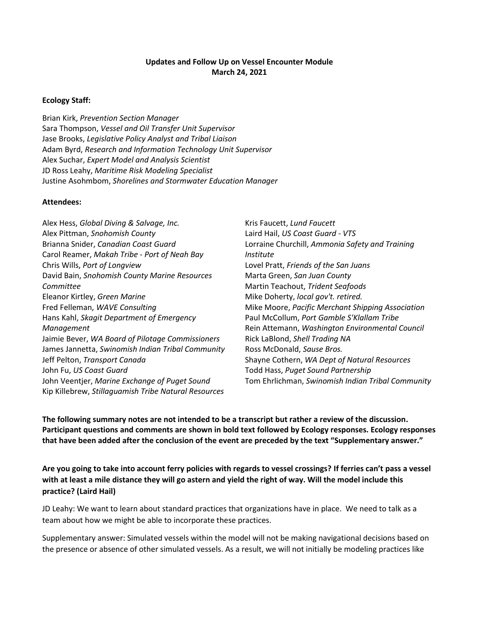### **Updates and Follow Up on Vessel Encounter Module March 24, 2021**

#### **Ecology Staff:**

Brian Kirk, *Prevention Section Manager* Sara Thompson, *Vessel and Oil Transfer Unit Supervisor* Jase Brooks, *Legislative Policy Analyst and Tribal Liaison* Adam Byrd, *Research and Information Technology Unit Supervisor* Alex Suchar, *Expert Model and Analysis Scientist* JD Ross Leahy, *Maritime Risk Modeling Specialist* Justine Asohmbom, *Shorelines and Stormwater Education Manager*

#### **Attendees:**

| Kris Faucett, Lund Faucett                        |
|---------------------------------------------------|
| Laird Hail, US Coast Guard - VTS                  |
| Lorraine Churchill, Ammonia Safety and Training   |
| <i>Institute</i>                                  |
| Lovel Pratt, Friends of the San Juans             |
| Marta Green, San Juan County                      |
| Martin Teachout, Trident Seafoods                 |
| Mike Doherty, local gov't. retired.               |
| Mike Moore, Pacific Merchant Shipping Association |
| Paul McCollum, Port Gamble S'Klallam Tribe        |
| Rein Attemann, Washington Environmental Council   |
| Rick LaBlond, Shell Trading NA                    |
| Ross McDonald, Sause Bros.                        |
| Shayne Cothern, WA Dept of Natural Resources      |
| Todd Hass, Puget Sound Partnership                |
| Tom Ehrlichman, Swinomish Indian Tribal Community |
|                                                   |
|                                                   |

**The following summary notes are not intended to be a transcript but rather a review of the discussion. Participant questions and comments are shown in bold text followed by Ecology responses. Ecology responses that have been added after the conclusion of the event are preceded by the text "Supplementary answer."**

**Are you going to take into account ferry policies with regards to vessel crossings? If ferries can't pass a vessel with at least a mile distance they will go astern and yield the right of way. Will the model include this practice? (Laird Hail)**

JD Leahy: We want to learn about standard practices that organizations have in place. We need to talk as a team about how we might be able to incorporate these practices.

Supplementary answer: Simulated vessels within the model will not be making navigational decisions based on the presence or absence of other simulated vessels. As a result, we will not initially be modeling practices like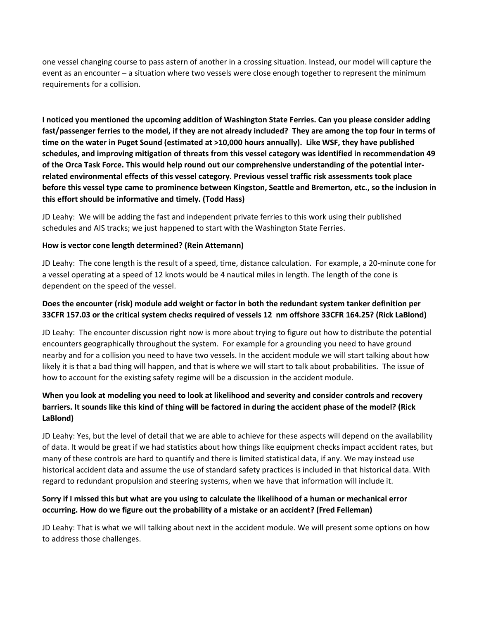one vessel changing course to pass astern of another in a crossing situation. Instead, our model will capture the event as an encounter – a situation where two vessels were close enough together to represent the minimum requirements for a collision.

**I noticed you mentioned the upcoming addition of Washington State Ferries. Can you please consider adding fast/passenger ferries to the model, if they are not already included? They are among the top four in terms of time on the water in Puget Sound (estimated at >10,000 hours annually). Like WSF, they have published schedules, and improving mitigation of threats from this vessel category was identified in recommendation 49 of the Orca Task Force. This would help round out our comprehensive understanding of the potential interrelated environmental effects of this vessel category. Previous vessel traffic risk assessments took place before this vessel type came to prominence between Kingston, Seattle and Bremerton, etc., so the inclusion in this effort should be informative and timely. (Todd Hass)**

JD Leahy: We will be adding the fast and independent private ferries to this work using their published schedules and AIS tracks; we just happened to start with the Washington State Ferries.

#### **How is vector cone length determined? (Rein Attemann)**

JD Leahy: The cone length is the result of a speed, time, distance calculation. For example, a 20-minute cone for a vessel operating at a speed of 12 knots would be 4 nautical miles in length. The length of the cone is dependent on the speed of the vessel.

## **Does the encounter (risk) module add weight or factor in both the redundant system tanker definition per 33CFR 157.03 or the critical system checks required of vessels 12 nm offshore 33CFR 164.25? (Rick LaBlond)**

JD Leahy: The encounter discussion right now is more about trying to figure out how to distribute the potential encounters geographically throughout the system. For example for a grounding you need to have ground nearby and for a collision you need to have two vessels. In the accident module we will start talking about how likely it is that a bad thing will happen, and that is where we will start to talk about probabilities. The issue of how to account for the existing safety regime will be a discussion in the accident module.

# **When you look at modeling you need to look at likelihood and severity and consider controls and recovery barriers. It sounds like this kind of thing will be factored in during the accident phase of the model? (Rick LaBlond)**

JD Leahy: Yes, but the level of detail that we are able to achieve for these aspects will depend on the availability of data. It would be great if we had statistics about how things like equipment checks impact accident rates, but many of these controls are hard to quantify and there is limited statistical data, if any. We may instead use historical accident data and assume the use of standard safety practices is included in that historical data. With regard to redundant propulsion and steering systems, when we have that information will include it.

# **Sorry if I missed this but what are you using to calculate the likelihood of a human or mechanical error occurring. How do we figure out the probability of a mistake or an accident? (Fred Felleman)**

JD Leahy: That is what we will talking about next in the accident module. We will present some options on how to address those challenges.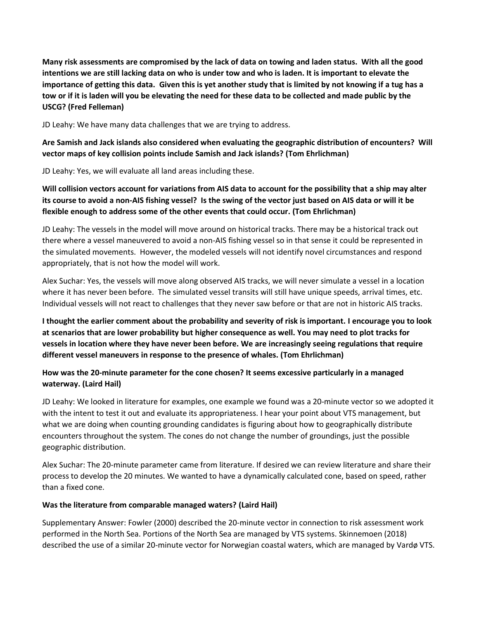**Many risk assessments are compromised by the lack of data on towing and laden status. With all the good intentions we are still lacking data on who is under tow and who is laden. It is important to elevate the importance of getting this data. Given this is yet another study that is limited by not knowing if a tug has a tow or if it is laden will you be elevating the need for these data to be collected and made public by the USCG? (Fred Felleman)**

JD Leahy: We have many data challenges that we are trying to address.

**Are Samish and Jack islands also considered when evaluating the geographic distribution of encounters? Will vector maps of key collision points include Samish and Jack islands? (Tom Ehrlichman)**

JD Leahy: Yes, we will evaluate all land areas including these.

**Will collision vectors account for variations from AIS data to account for the possibility that a ship may alter its course to avoid a non-AIS fishing vessel? Is the swing of the vector just based on AIS data or will it be flexible enough to address some of the other events that could occur. (Tom Ehrlichman)**

JD Leahy: The vessels in the model will move around on historical tracks. There may be a historical track out there where a vessel maneuvered to avoid a non-AIS fishing vessel so in that sense it could be represented in the simulated movements. However, the modeled vessels will not identify novel circumstances and respond appropriately, that is not how the model will work.

Alex Suchar: Yes, the vessels will move along observed AIS tracks, we will never simulate a vessel in a location where it has never been before. The simulated vessel transits will still have unique speeds, arrival times, etc. Individual vessels will not react to challenges that they never saw before or that are not in historic AIS tracks.

**I thought the earlier comment about the probability and severity of risk is important. I encourage you to look at scenarios that are lower probability but higher consequence as well. You may need to plot tracks for vessels in location where they have never been before. We are increasingly seeing regulations that require different vessel maneuvers in response to the presence of whales. (Tom Ehrlichman)**

**How was the 20-minute parameter for the cone chosen? It seems excessive particularly in a managed waterway. (Laird Hail)**

JD Leahy: We looked in literature for examples, one example we found was a 20-minute vector so we adopted it with the intent to test it out and evaluate its appropriateness. I hear your point about VTS management, but what we are doing when counting grounding candidates is figuring about how to geographically distribute encounters throughout the system. The cones do not change the number of groundings, just the possible geographic distribution.

Alex Suchar: The 20-minute parameter came from literature. If desired we can review literature and share their process to develop the 20 minutes. We wanted to have a dynamically calculated cone, based on speed, rather than a fixed cone.

## **Was the literature from comparable managed waters? (Laird Hail)**

Supplementary Answer: Fowler (2000) described the 20-minute vector in connection to risk assessment work performed in the North Sea. Portions of the North Sea are managed by VTS systems. Skinnemoen (2018) described the use of a similar 20-minute vector for Norwegian coastal waters, which are managed by Vardø VTS.